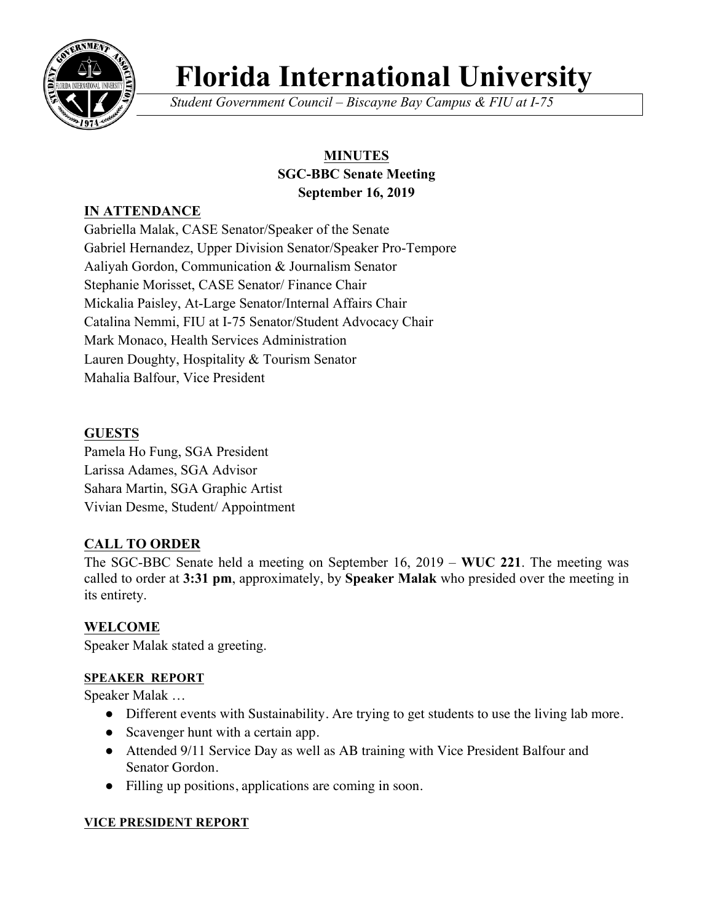

# **Florida International University**

*Student Government Council – Biscayne Bay Campus & FIU at I-75*

# **MINUTES SGC-BBC Senate Meeting September 16, 2019**

# **IN ATTENDANCE**

Gabriella Malak, CASE Senator/Speaker of the Senate Gabriel Hernandez, Upper Division Senator/Speaker Pro-Tempore Aaliyah Gordon, Communication & Journalism Senator Stephanie Morisset, CASE Senator/ Finance Chair Mickalia Paisley, At-Large Senator/Internal Affairs Chair Catalina Nemmi, FIU at I-75 Senator/Student Advocacy Chair Mark Monaco, Health Services Administration Lauren Doughty, Hospitality & Tourism Senator Mahalia Balfour, Vice President

## **GUESTS**

Pamela Ho Fung, SGA President Larissa Adames, SGA Advisor Sahara Martin, SGA Graphic Artist Vivian Desme, Student/ Appointment

# **CALL TO ORDER**

The SGC-BBC Senate held a meeting on September 16, 2019 – **WUC 221**. The meeting was called to order at **3:31 pm**, approximately, by **Speaker Malak** who presided over the meeting in its entirety.

### **WELCOME**

Speaker Malak stated a greeting.

### **SPEAKER REPORT**

Speaker Malak …

- Different events with Sustainability. Are trying to get students to use the living lab more.
- Scavenger hunt with a certain app.
- Attended 9/11 Service Day as well as AB training with Vice President Balfour and Senator Gordon.
- Filling up positions, applications are coming in soon.

### **VICE PRESIDENT REPORT**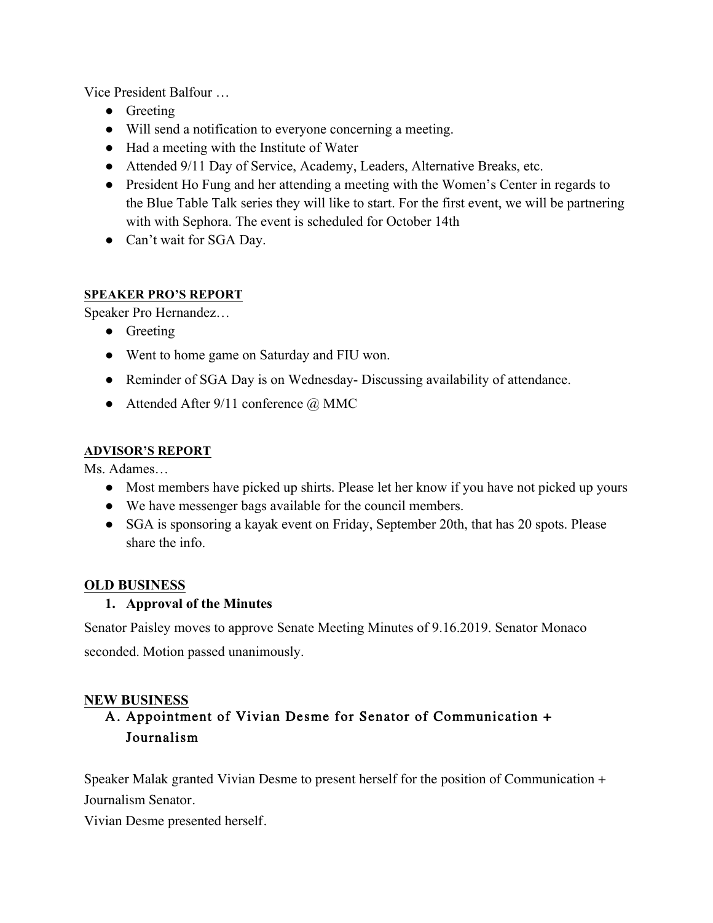Vice President Balfour …

- Greeting
- Will send a notification to everyone concerning a meeting.
- Had a meeting with the Institute of Water
- Attended 9/11 Day of Service, Academy, Leaders, Alternative Breaks, etc.
- President Ho Fung and her attending a meeting with the Women's Center in regards to the Blue Table Talk series they will like to start. For the first event, we will be partnering with with Sephora. The event is scheduled for October 14th
- Can't wait for SGA Day.

#### **SPEAKER PRO'S REPORT**

Speaker Pro Hernandez…

- Greeting
- Went to home game on Saturday and FIU won.
- Reminder of SGA Day is on Wednesday-Discussing availability of attendance.
- Attended After  $9/11$  conference  $\omega$  MMC

#### **ADVISOR'S REPORT**

Ms. Adames…

- Most members have picked up shirts. Please let her know if you have not picked up yours
- We have messenger bags available for the council members.
- SGA is sponsoring a kayak event on Friday, September 20th, that has 20 spots. Please share the info.

### **OLD BUSINESS**

### **1. Approval of the Minutes**

Senator Paisley moves to approve Senate Meeting Minutes of 9.16.2019. Senator Monaco seconded. Motion passed unanimously.

#### **NEW BUSINESS**

# A. Appointment of Vivian Desme for Senator of Communication + Journalism

Speaker Malak granted Vivian Desme to present herself for the position of Communication + Journalism Senator.

Vivian Desme presented herself.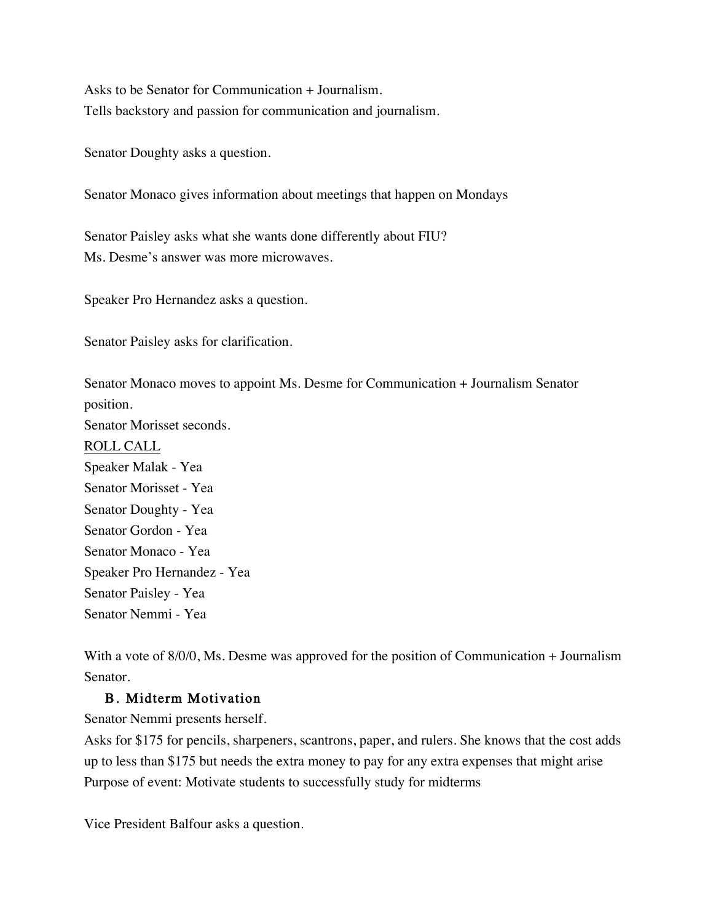Asks to be Senator for Communication + Journalism. Tells backstory and passion for communication and journalism.

Senator Doughty asks a question.

Senator Monaco gives information about meetings that happen on Mondays

Senator Paisley asks what she wants done differently about FIU? Ms. Desme's answer was more microwaves.

Speaker Pro Hernandez asks a question.

Senator Paisley asks for clarification.

Senator Monaco moves to appoint Ms. Desme for Communication + Journalism Senator position. Senator Morisset seconds. ROLL CALL Speaker Malak - Yea Senator Morisset - Yea Senator Doughty - Yea Senator Gordon - Yea Senator Monaco - Yea Speaker Pro Hernandez - Yea Senator Paisley - Yea Senator Nemmi - Yea

With a vote of 8/0/0, Ms. Desme was approved for the position of Communication + Journalism Senator.

#### B. Midterm Motivation

Senator Nemmi presents herself.

Asks for \$175 for pencils, sharpeners, scantrons, paper, and rulers. She knows that the cost adds up to less than \$175 but needs the extra money to pay for any extra expenses that might arise Purpose of event: Motivate students to successfully study for midterms

Vice President Balfour asks a question.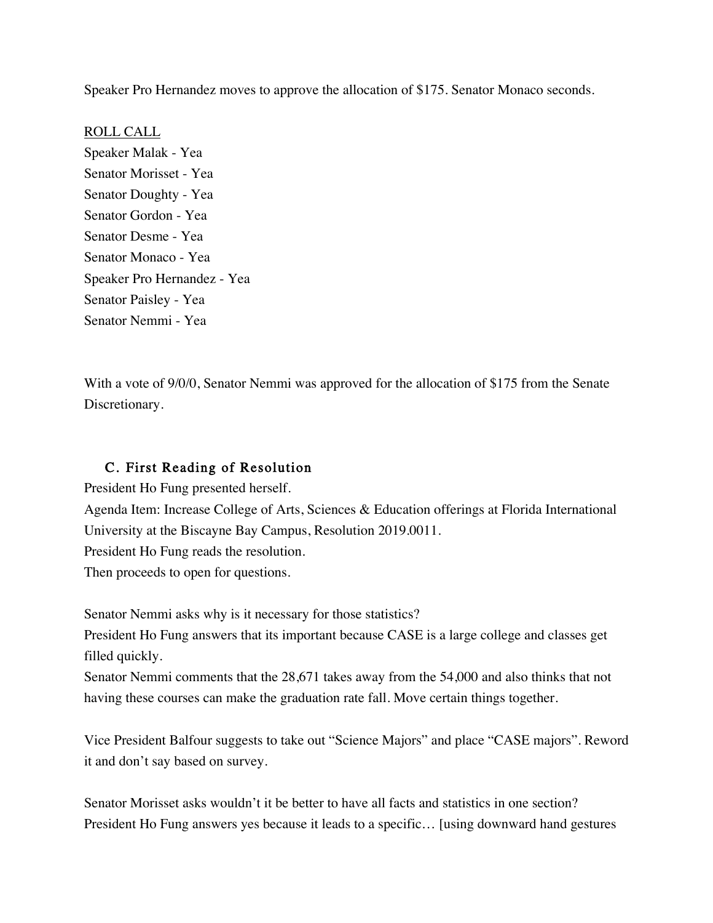Speaker Pro Hernandez moves to approve the allocation of \$175. Senator Monaco seconds.

ROLL CALL Speaker Malak - Yea Senator Morisset - Yea Senator Doughty - Yea Senator Gordon - Yea Senator Desme - Yea Senator Monaco - Yea Speaker Pro Hernandez - Yea Senator Paisley - Yea Senator Nemmi - Yea

With a vote of 9/0/0, Senator Nemmi was approved for the allocation of \$175 from the Senate Discretionary.

### C. First Reading of Resolution

President Ho Fung presented herself.

Agenda Item: Increase College of Arts, Sciences & Education offerings at Florida International University at the Biscayne Bay Campus, Resolution 2019.0011.

President Ho Fung reads the resolution.

Then proceeds to open for questions.

Senator Nemmi asks why is it necessary for those statistics?

President Ho Fung answers that its important because CASE is a large college and classes get filled quickly.

Senator Nemmi comments that the 28,671 takes away from the 54,000 and also thinks that not having these courses can make the graduation rate fall. Move certain things together.

Vice President Balfour suggests to take out "Science Majors" and place "CASE majors". Reword it and don't say based on survey.

Senator Morisset asks wouldn't it be better to have all facts and statistics in one section? President Ho Fung answers yes because it leads to a specific… [using downward hand gestures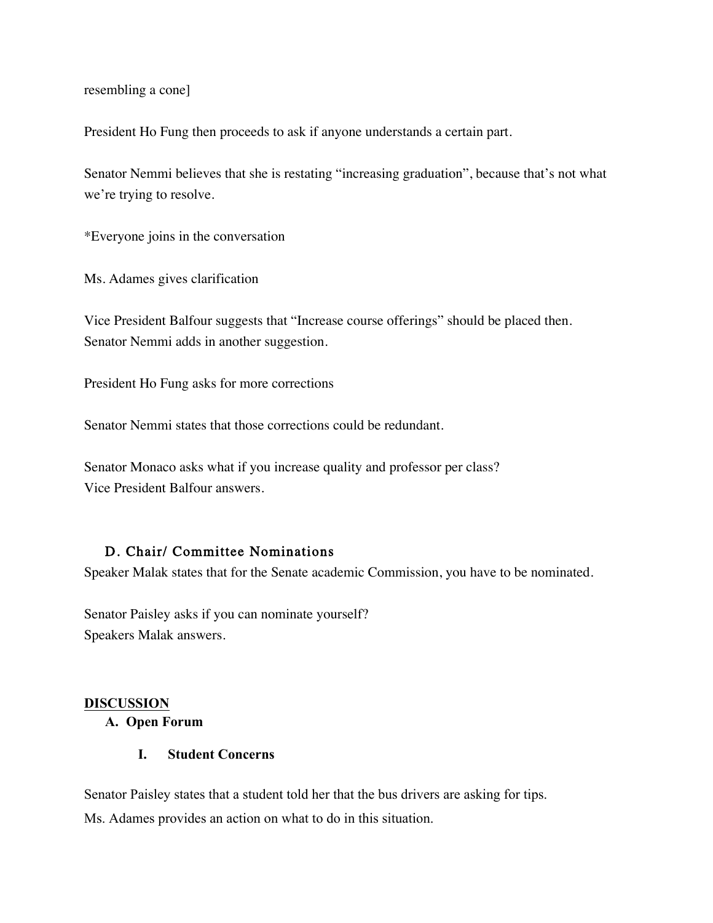resembling a cone]

President Ho Fung then proceeds to ask if anyone understands a certain part.

Senator Nemmi believes that she is restating "increasing graduation", because that's not what we're trying to resolve.

\*Everyone joins in the conversation

Ms. Adames gives clarification

Vice President Balfour suggests that "Increase course offerings" should be placed then. Senator Nemmi adds in another suggestion.

President Ho Fung asks for more corrections

Senator Nemmi states that those corrections could be redundant.

Senator Monaco asks what if you increase quality and professor per class? Vice President Balfour answers.

#### D. Chair/ Committee Nominations

Speaker Malak states that for the Senate academic Commission, you have to be nominated.

Senator Paisley asks if you can nominate yourself? Speakers Malak answers.

#### **DISCUSSION**

#### **A. Open Forum**

#### **I. Student Concerns**

Senator Paisley states that a student told her that the bus drivers are asking for tips. Ms. Adames provides an action on what to do in this situation.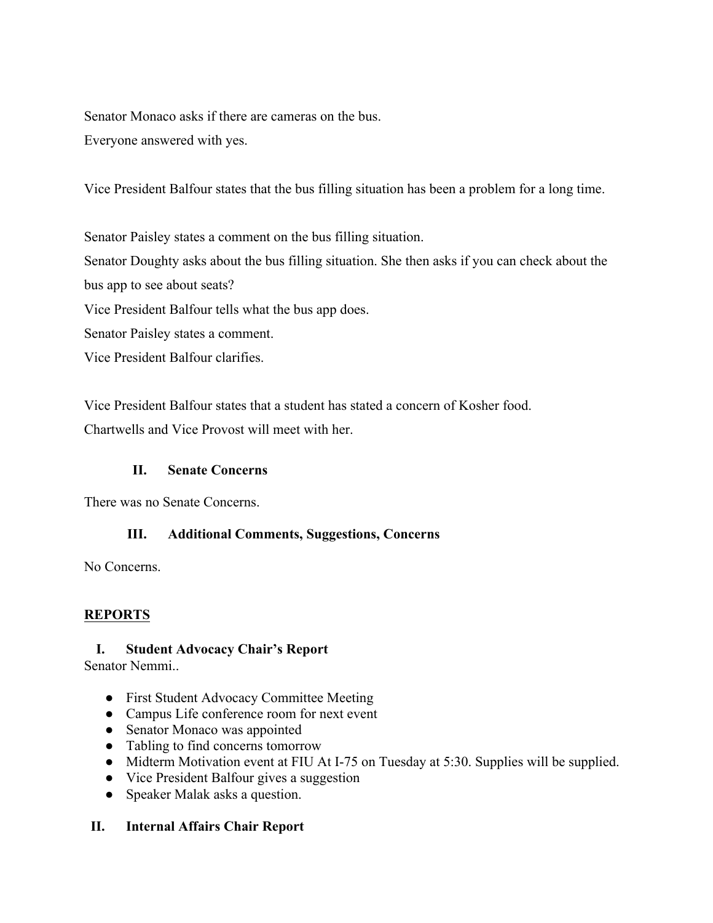Senator Monaco asks if there are cameras on the bus. Everyone answered with yes.

Vice President Balfour states that the bus filling situation has been a problem for a long time.

Senator Paisley states a comment on the bus filling situation. Senator Doughty asks about the bus filling situation. She then asks if you can check about the bus app to see about seats? Vice President Balfour tells what the bus app does. Senator Paisley states a comment.

Vice President Balfour clarifies.

Vice President Balfour states that a student has stated a concern of Kosher food.

Chartwells and Vice Provost will meet with her.

### **II. Senate Concerns**

There was no Senate Concerns.

### **III. Additional Comments, Suggestions, Concerns**

No Concerns.

# **REPORTS**

# **I. Student Advocacy Chair's Report**

Senator Nemmi..

- First Student Advocacy Committee Meeting
- Campus Life conference room for next event
- Senator Monaco was appointed
- Tabling to find concerns tomorrow
- Midterm Motivation event at FIU At I-75 on Tuesday at 5:30. Supplies will be supplied.
- Vice President Balfour gives a suggestion
- Speaker Malak asks a question.

### **II. Internal Affairs Chair Report**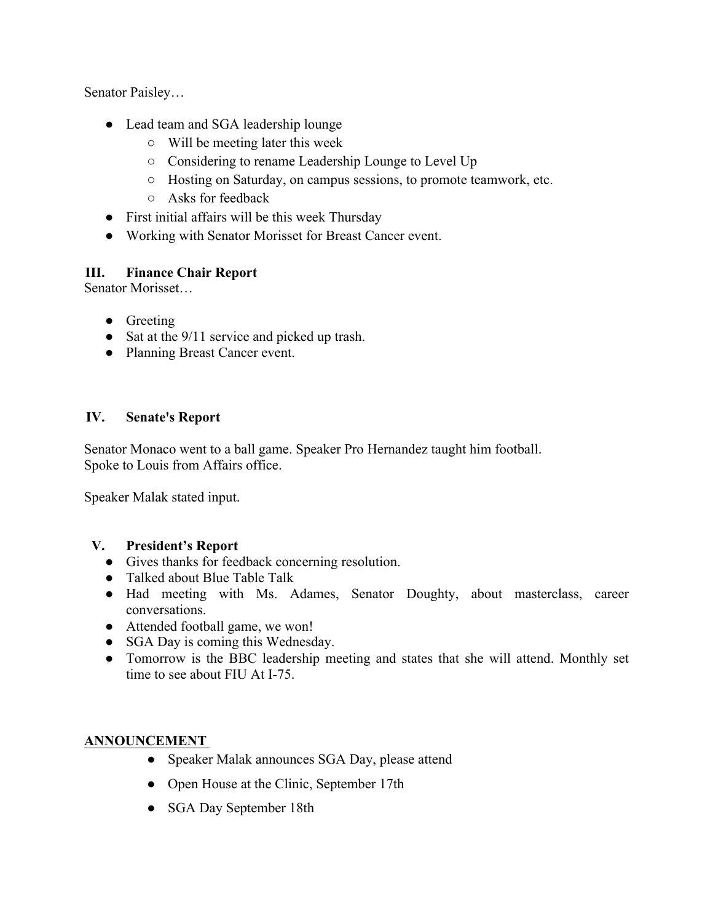Senator Paisley…

- Lead team and SGA leadership lounge
	- Will be meeting later this week
	- Considering to rename Leadership Lounge to Level Up
	- Hosting on Saturday, on campus sessions, to promote teamwork, etc.
	- Asks for feedback
- First initial affairs will be this week Thursday
- Working with Senator Morisset for Breast Cancer event.

### **III. Finance Chair Report**

Senator Morisset…

- Greeting
- Sat at the 9/11 service and picked up trash.
- Planning Breast Cancer event.

### **IV. Senate's Report**

Senator Monaco went to a ball game. Speaker Pro Hernandez taught him football. Spoke to Louis from Affairs office.

Speaker Malak stated input.

### **V. President's Report**

- Gives thanks for feedback concerning resolution.
- Talked about Blue Table Talk
- Had meeting with Ms. Adames, Senator Doughty, about masterclass, career conversations.
- Attended football game, we won!
- SGA Day is coming this Wednesday.
- Tomorrow is the BBC leadership meeting and states that she will attend. Monthly set time to see about FIU At I-75.

### **ANNOUNCEMENT**

- Speaker Malak announces SGA Day, please attend
- Open House at the Clinic, September 17th
- SGA Day September 18th